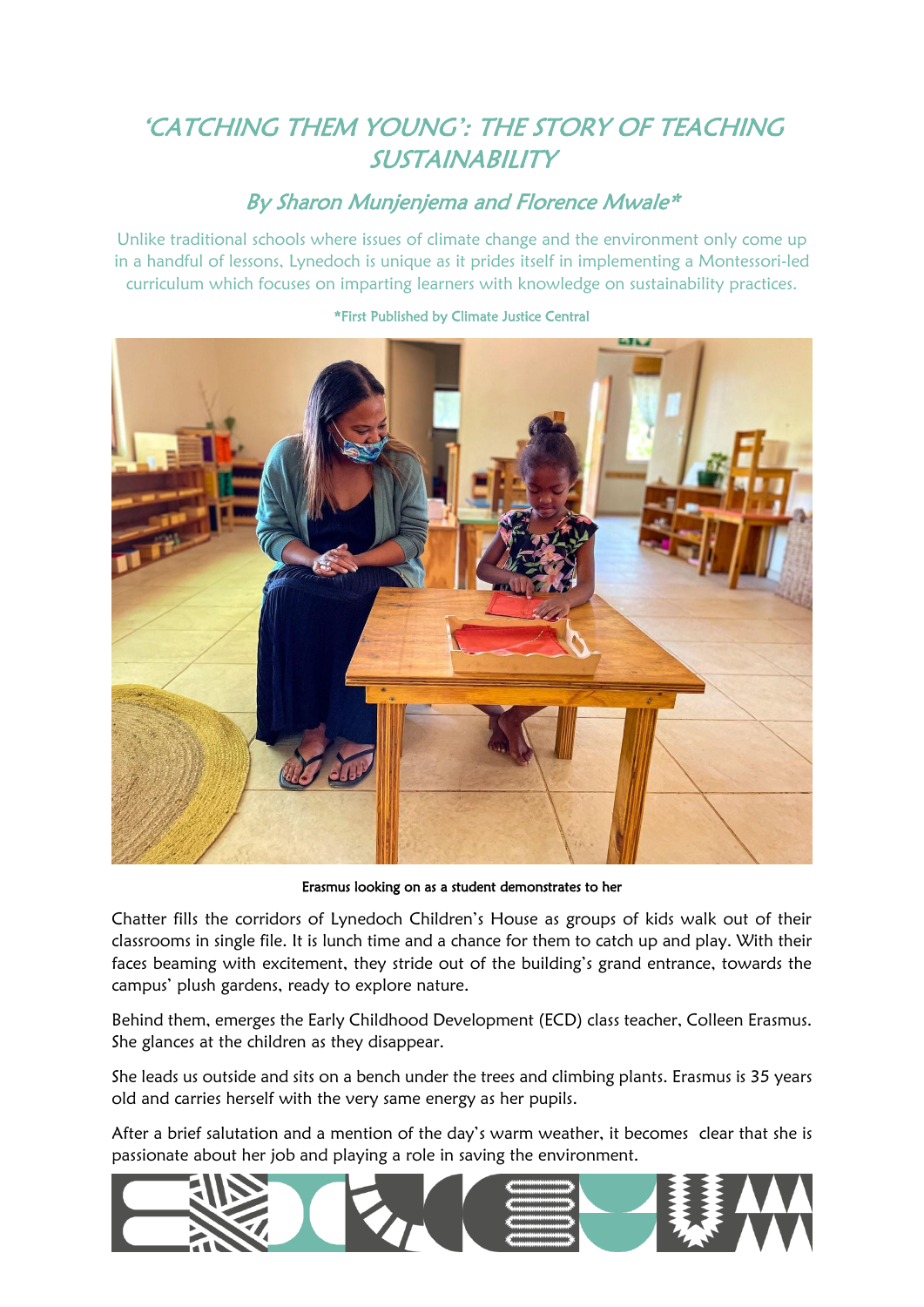## 'CATCHING THEM YOUNG': THE STORY OF TEACHING SUSTAINABILITY

## By Sharon Munjenjema and Florence Mwale\*

Unlike traditional schools where issues of climate change and the environment only come up in a handful of lessons, Lynedoch is unique as it prides itself in implementing a Montessori-led curriculum which focuses on imparting learners with knowledge on sustainability practices.



## \*First Published by Climate Justice Central

Erasmus looking on as a student demonstrates to her

Chatter fills the corridors of Lynedoch Children's House as groups of kids walk out of their classrooms in single file. It is lunch time and a chance for them to catch up and play. With their faces beaming with excitement, they stride out of the building's grand entrance, towards the campus' plush gardens, ready to explore nature.

Behind them, emerges the Early Childhood Development (ECD) class teacher, Colleen Erasmus. She glances at the children as they disappear.

She leads us outside and sits on a bench under the trees and climbing plants. Erasmus is 35 years old and carries herself with the very same energy as her pupils.

After a brief salutation and a mention of the day's warm weather, it becomes clear that she is passionate about her job and playing a role in saving the environment.

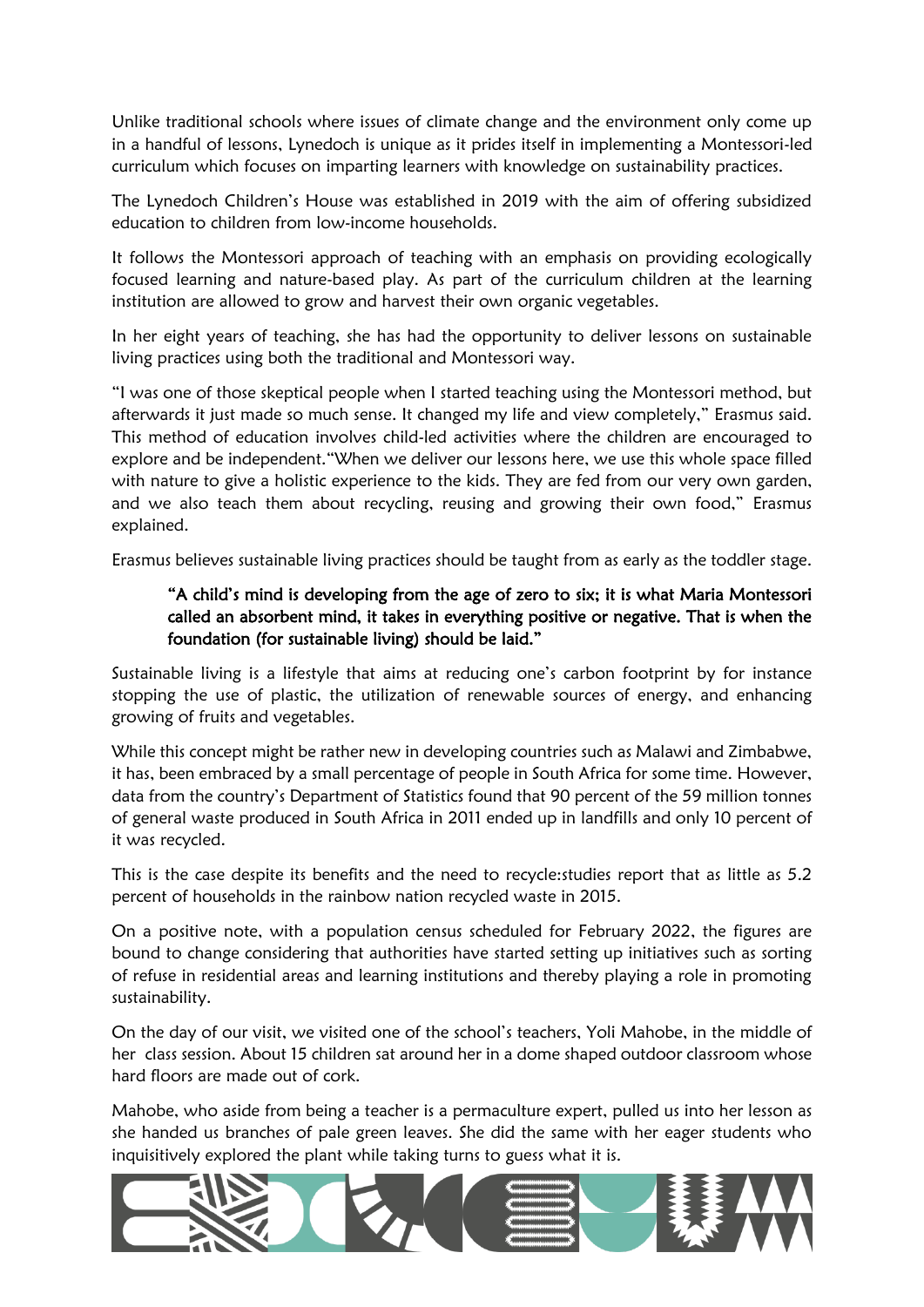Unlike traditional schools where issues of climate change and the environment only come up in a handful of lessons, Lynedoch is unique as it prides itself in implementing a Montessori-led curriculum which focuses on imparting learners with knowledge on sustainability practices.

The Lynedoch Children's House was established in 2019 with the aim of offering subsidized education to children from low-income households.

It follows the Montessori approach of teaching with an emphasis on providing ecologically focused learning and nature-based play. As part of the curriculum children at the learning institution are allowed to grow and harvest their own organic vegetables.

In her eight years of teaching, she has had the opportunity to deliver lessons on sustainable living practices using both the traditional and Montessori way.

"I was one of those skeptical people when I started teaching using the Montessori method, but afterwards it just made so much sense. It changed my life and view completely," Erasmus said. This method of education involves child-led activities where the children are encouraged to explore and be independent."When we deliver our lessons here, we use this whole space filled with nature to give a holistic experience to the kids. They are fed from our very own garden, and we also teach them about recycling, reusing and growing their own food," Erasmus explained.

Erasmus believes sustainable living practices should be taught from as early as the toddler stage.

## "A child's mind is developing from the age of zero to six; it is what Maria Montessori called an absorbent mind, it takes in everything positive or negative. That is when the foundation (for sustainable living) should be laid."

Sustainable living is a lifestyle that aims at reducing one's carbon footprint by for instance stopping the use of plastic, the utilization of renewable sources of energy, and enhancing growing of fruits and vegetables.

While this concept might be rather new in developing countries such as Malawi and Zimbabwe, it has, been embraced by a small percentage of people in South Africa for some time. However, data from the country's Department of Statistics found that 90 percent of the 59 million tonnes of general waste produced in South Africa in 2011 ended up in landfills and only 10 percent of it was recycled.

This is the case despite its benefits and the need to recycle:studies report that as little as 5.2 percent of households in the rainbow nation recycled waste in 2015.

On a positive note, with a population census scheduled for February 2022, the figures are bound to change considering that authorities have started setting up initiatives such as sorting of refuse in residential areas and learning institutions and thereby playing a role in promoting sustainability.

On the day of our visit, we visited one of the school's teachers, Yoli Mahobe, in the middle of her class session. About 15 children sat around her in a dome shaped outdoor classroom whose hard floors are made out of cork.

Mahobe, who aside from being a teacher is a permaculture expert, pulled us into her lesson as she handed us branches of pale green leaves. She did the same with her eager students who inquisitively explored the plant while taking turns to guess what it is.

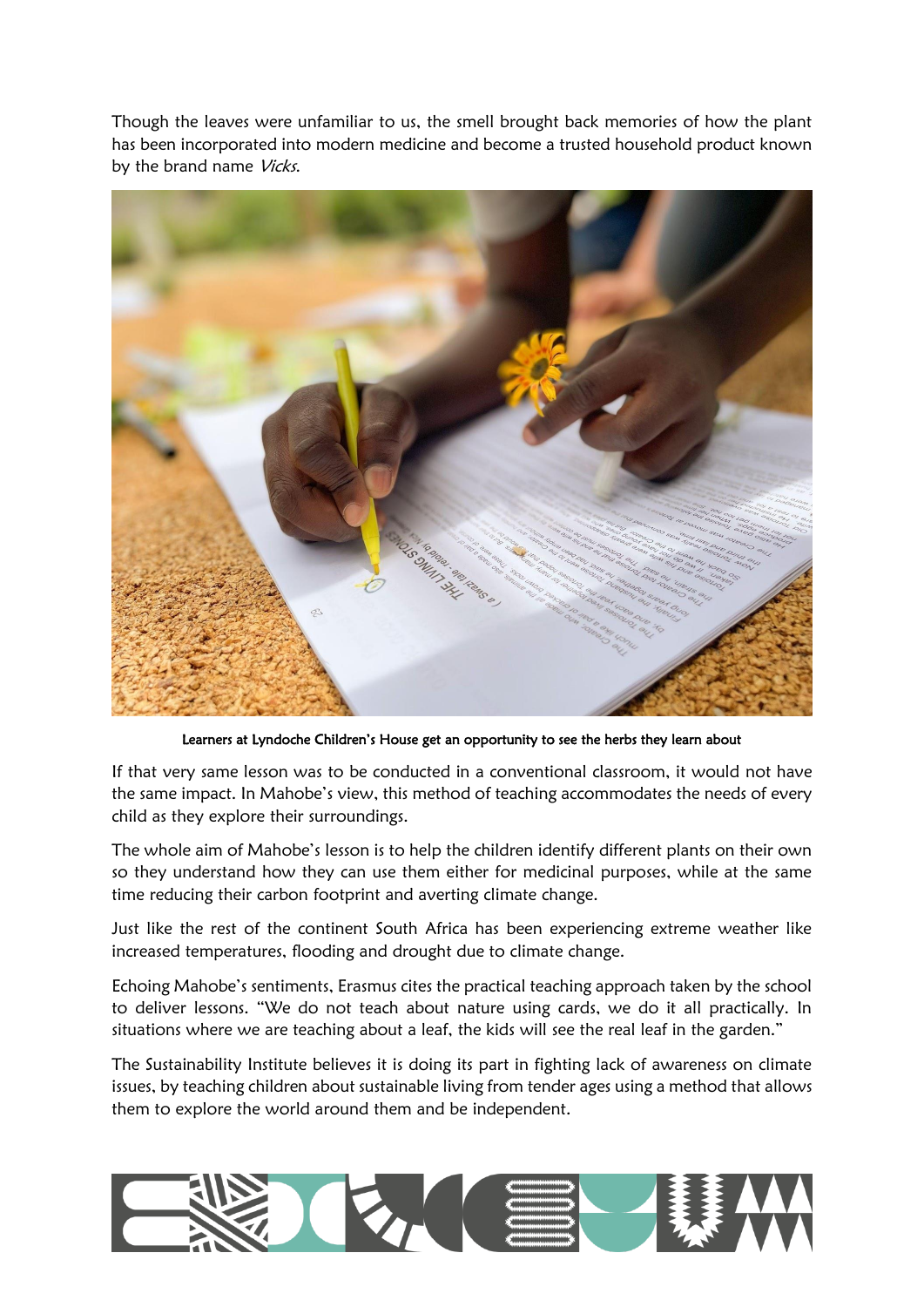Though the leaves were unfamiliar to us, the smell brought back memories of how the plant has been incorporated into modern medicine and become a trusted household product known by the brand name Vicks.



Learners at Lyndoche Children's House get an opportunity to see the herbs they learn about

If that very same lesson was to be conducted in a conventional classroom, it would not have the same impact. In Mahobe's view, this method of teaching accommodates the needs of every child as they explore their surroundings.

The whole aim of Mahobe's lesson is to help the children identify different plants on their own so they understand how they can use them either for medicinal purposes, while at the same time reducing their carbon footprint and averting climate change.

Just like the rest of the continent South Africa has been experiencing extreme weather like increased temperatures, flooding and drought due to climate change.

Echoing Mahobe's sentiments, Erasmus cites the practical teaching approach taken by the school to deliver lessons. "We do not teach about nature using cards, we do it all practically. In situations where we are teaching about a leaf, the kids will see the real leaf in the garden."

The Sustainability Institute believes it is doing its part in fighting lack of awareness on climate issues, by teaching children about sustainable living from tender ages using a method that allows them to explore the world around them and be independent.